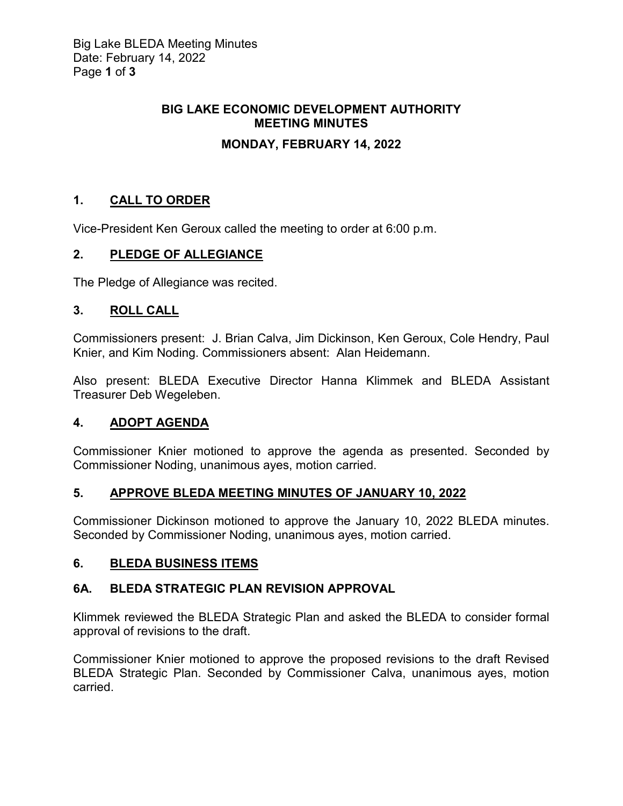# **BIG LAKE ECONOMIC DEVELOPMENT AUTHORITY MEETING MINUTES**

## **MONDAY, FEBRUARY 14, 2022**

## **1. CALL TO ORDER**

Vice-President Ken Geroux called the meeting to order at 6:00 p.m.

## **2. PLEDGE OF ALLEGIANCE**

The Pledge of Allegiance was recited.

#### **3. ROLL CALL**

Commissioners present: J. Brian Calva, Jim Dickinson, Ken Geroux, Cole Hendry, Paul Knier, and Kim Noding. Commissioners absent: Alan Heidemann.

Also present: BLEDA Executive Director Hanna Klimmek and BLEDA Assistant Treasurer Deb Wegeleben.

## **4. ADOPT AGENDA**

Commissioner Knier motioned to approve the agenda as presented. Seconded by Commissioner Noding, unanimous ayes, motion carried.

## **5. APPROVE BLEDA MEETING MINUTES OF JANUARY 10, 2022**

Commissioner Dickinson motioned to approve the January 10, 2022 BLEDA minutes. Seconded by Commissioner Noding, unanimous ayes, motion carried.

## **6. BLEDA BUSINESS ITEMS**

## **6A. BLEDA STRATEGIC PLAN REVISION APPROVAL**

Klimmek reviewed the BLEDA Strategic Plan and asked the BLEDA to consider formal approval of revisions to the draft.

Commissioner Knier motioned to approve the proposed revisions to the draft Revised BLEDA Strategic Plan. Seconded by Commissioner Calva, unanimous ayes, motion carried.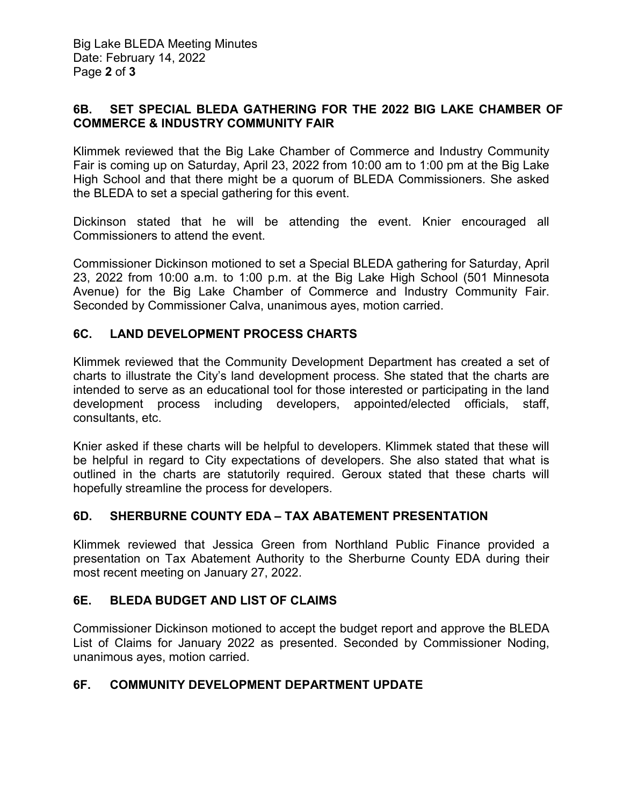#### **6B. SET SPECIAL BLEDA GATHERING FOR THE 2022 BIG LAKE CHAMBER OF COMMERCE & INDUSTRY COMMUNITY FAIR**

Klimmek reviewed that the Big Lake Chamber of Commerce and Industry Community Fair is coming up on Saturday, April 23, 2022 from 10:00 am to 1:00 pm at the Big Lake High School and that there might be a quorum of BLEDA Commissioners. She asked the BLEDA to set a special gathering for this event.

Dickinson stated that he will be attending the event. Knier encouraged all Commissioners to attend the event.

Commissioner Dickinson motioned to set a Special BLEDA gathering for Saturday, April 23, 2022 from 10:00 a.m. to 1:00 p.m. at the Big Lake High School (501 Minnesota Avenue) for the Big Lake Chamber of Commerce and Industry Community Fair. Seconded by Commissioner Calva, unanimous ayes, motion carried.

## **6C. LAND DEVELOPMENT PROCESS CHARTS**

Klimmek reviewed that the Community Development Department has created a set of charts to illustrate the City's land development process. She stated that the charts are intended to serve as an educational tool for those interested or participating in the land development process including developers, appointed/elected officials, staff, consultants, etc.

Knier asked if these charts will be helpful to developers. Klimmek stated that these will be helpful in regard to City expectations of developers. She also stated that what is outlined in the charts are statutorily required. Geroux stated that these charts will hopefully streamline the process for developers.

#### **6D. SHERBURNE COUNTY EDA – TAX ABATEMENT PRESENTATION**

Klimmek reviewed that Jessica Green from Northland Public Finance provided a presentation on Tax Abatement Authority to the Sherburne County EDA during their most recent meeting on January 27, 2022.

## **6E. BLEDA BUDGET AND LIST OF CLAIMS**

Commissioner Dickinson motioned to accept the budget report and approve the BLEDA List of Claims for January 2022 as presented. Seconded by Commissioner Noding, unanimous ayes, motion carried.

## **6F. COMMUNITY DEVELOPMENT DEPARTMENT UPDATE**